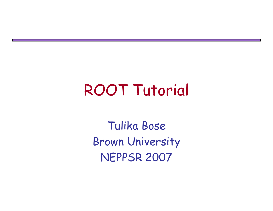# ROOT Tutorial

Tulika Bose Brown University NEPPSR 2007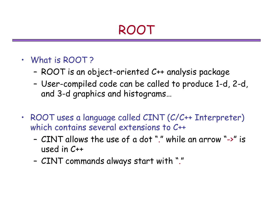### ROOT

### • What is ROOT ?

- –ROOT is an object-oriented C++ analysis package
- – User-compiled code can be called to produce 1-d, 2-d, and 3-d graphics and histograms…
- ROOT uses a language called CINT (C/C++ Interpreter) which contains several extensions to C++
	- – CINT allows the use of a dot "." while an arrow "->" is used in C++
	- –CINT commands always start with "."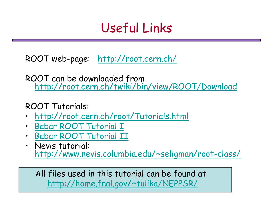### Useful Links

ROOT web-page: <http://root.cern.ch/>

ROOT can be downloaded from <http://root.cern.ch/twiki/bin/view/ROOT/Download>

ROOT Tutorials:

- $\bullet$ <http://root.cern.ch/root/Tutorials.html>
- •Babar [ROOT Tutorial I](http://hepunx.rl.ac.uk/BFROOT/www/doc/workbook_kiwi/root1/root1.html)
- •Babar [ROOT Tutorial II](http://hepunx.rl.ac.uk/BFROOT/www/doc/workbook_kiwi/root2/root2.html)
- • Nevis tutorial: <http://www.nevis.columbia.edu/~seligman/root-class/>

All files used in this tutorial can be found at <http://home.fnal.gov/~tulika/NEPPSR/>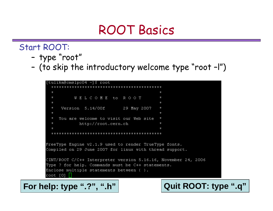### ROOT Basics

#### Start ROOT:

- –type "root"
- –(to skip the introductory welcome type "root –l")



#### **For help: type ".?", ".h" | Quit ROOT: type ".q"**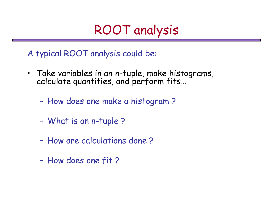## ROOT analysis

A typical ROOT analysis could be:

- Take variables in an n-tuple, make histograms, calculate quantities, and perform fits…
	- –How does one make a histogram ?
	- –What is an n-tuple ?
	- How are calculations done ?
	- –How does one fit ?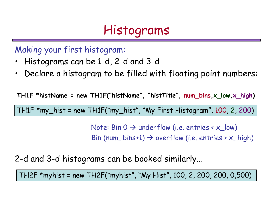# Histograms

Making your first histogram:

- Histograms can be 1-d, 2-d and 3-d
- Declare a histogram to be filled with floating point numbers:

**TH1F \*histName = new TH1F("histName", "histTitle", num\_bins,x\_low,x\_high)**

TH1F \*my\_hist = new TH1F("my\_hist", "My First Histogram", 100, 2, 200)

Note: Bin 0  $\rightarrow$  underflow (i.e. entries < x\_low) Bin (num\_bins+1)  $\rightarrow$  overflow (i.e. entries >  $x_{high}$ )

2-d and 3-d histograms can be booked similarly…

TH2F \*myhist = new TH2F("myhist", "My Hist", 100, 2, 200, 200, 0,500)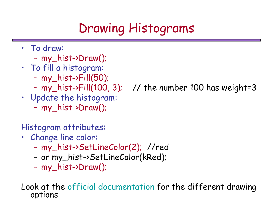# Drawing Histograms

- To draw:
	- –my\_hist->Draw();
- To fill a histogram:
	- –my\_hist->Fill(50);
	- my hist->Fill $(100, 3)$ ;
- Update the histogram:
	- –my\_hist->Draw();

Histogram attributes:

- Change line color:
	- –my\_hist->SetLineColor(2); //red
	- –or my\_hist->SetLineColor(kRed);
	- –my\_hist->Draw();

Look at the [official documentation](ftp://root.cern.ch/root/doc/3Histograms.pdf) for the different drawing o ptions

 $\frac{1}{100}$  the number 100 has weight=3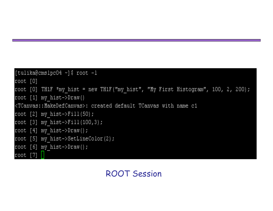```
[tulika@cmslpc04 ~\sim] $ root -1
root [0]root [0] TH1F *my hist = new TH1F ("my hist", "My First Histogram", 100, 2, 200);
root [1] my hist->Draw()
<TCanvas::MakeDefCanvas>: created default TCanvas with name c1
root [2] my hist->Fill(50);
root [3] my hist->Fill(100,3);
root [4] my hist->Draw();
root [5] my hist->SetLineColor(2);
root [6] my hist->Draw();
     [7]
root
```
#### ROOT Session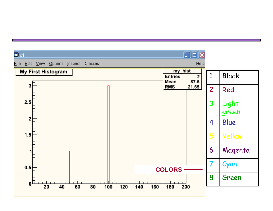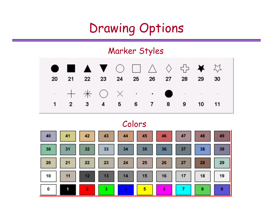# Drawing Options

#### Marker Styles



#### Colors

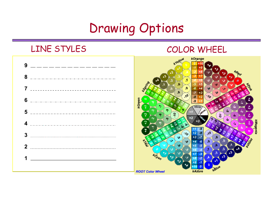# Drawing Options

#### LINE STYLES COLOR WHEEL



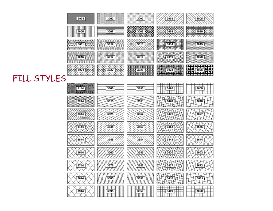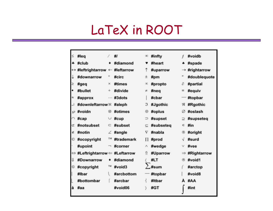### LaTeX in ROOT

|                   | #leq                         |          | #1         | œ           | #infty    |               | #voidb                    |
|-------------------|------------------------------|----------|------------|-------------|-----------|---------------|---------------------------|
| 4                 | #club                        |          | #diamond   | ۷           | #heart    | ۸             | #spade                    |
| $\leftrightarrow$ | #leftrightarrow $\leftarrow$ |          | #leftarrow | Υ           | #uparrow  |               | $\rightarrow$ #rightarrow |
|                   | #downarrow                   | o        | #circ      | 土           | #pm       | re            | #doublequote              |
|                   | #geq                         | ×        | #times     | œ           | #propto   | д             | #partial                  |
|                   | #bullet                      | ÷        | #divide    | 谑           | $#$ neq   | $\equiv$      | #equiv                    |
| $\approx$         | #approx                      | $\cdots$ | #3dots     |             | #cbar     |               | #topbar                   |
|                   | #downleftarrow N#aleph       |          |            | з           | #Jgothic  | R             | #Rgothic                  |
| $\wp$             | #voidn                       | ⊗        | #otimes    | $_{\oplus}$ | #oplus    | ø             | #oslash                   |
|                   | #cap                         | ◡        | #cup       | ⊃           | #supset   | ⊇             | #supseteq                 |
| $\sigma$          | #notsubset                   | ⊂        | #subset    | ⊆           | #subseteq | €             | #in                       |
| 孟                 | #notin                       | ∠        | #angle     | $\rm{v}$    | #nabla    | ⑧             | #oright                   |
| O                 | #ocopyright                  | TM       | #trademark | П           | #prod     | √             | #surd                     |
|                   | #upoint                      | ⇁        | #corner    | Λ           | #wedge    | v             | #vee                      |
|                   | #Leftrightarrow = #Leftarrow |          |            | ⇑           | #Uparrow  | $\Rightarrow$ | #Rightarrow               |
|                   | #Downarrow                   | ٠        | #diamond   |             | #LT       | (R)           | #void1                    |
| $^\copyright$     | #copyright                   | тм       | #void3     |             | tsum      |               | #arctop                   |
|                   | #Ibar                        |          | #arcbottom |             | #topbar   |               | #void8                    |
|                   | #bottombar                   |          | #arcbar    |             | #Itbar    | A             | #AA                       |
| lå                | #aa                          |          | #void06    |             | #GT       |               | #int                      |
|                   |                              |          |            |             |           |               |                           |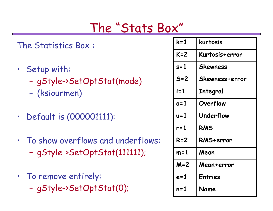### The "Stats Box"

#### The Statistics Box :

- • Setup with:
	- –gStyle->SetOptStat(mode)
	- –(ksiourmen)
- $\bullet$ Default is (000001111):
- To show overflows and underflows:
	- –gStyle->SetOptStat(111111);
- To remove entirely:
	- –gStyle->SetOptStat(0);

| $k=1$   | kurtosis         |
|---------|------------------|
| $K = 2$ | Kurtosis+error   |
| $s = 1$ | <b>Skewness</b>  |
| $S = 2$ | Skewness+error   |
| $i = 1$ | <b>Integral</b>  |
| $o=1$   | Overflow         |
| $u = 1$ | Underflow        |
| $r = 1$ | <b>RMS</b>       |
| $R = 2$ | <b>RMS+error</b> |
| $m=1$   | Mean             |
| $M = 2$ | Mean+error       |
| e=1     | Entries          |
| $n = 1$ | Name             |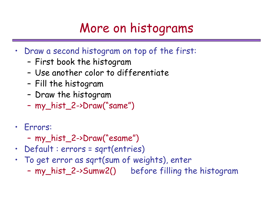# More on histograms

- Draw a second histogram on top of the first:
	- –First book the histogram
	- –Use another color to differentiate
	- –Fill the histogram
	- –Draw the histogram
	- –my\_hist\_2->Draw("same")
- Errors:
	- –my\_hist\_2->Draw("esame")
- Default : errors = sqrt(entries)
- To get error as sqrt(sum of weights), enter –my\_hist\_2->Sumw2() before filling the histogram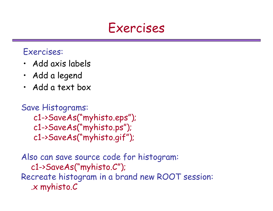### Exercises

#### Exercises:

- Add axis labels
- Add a legend
- Add a text box

#### Save Histograms: c1->SaveAs("myhisto.eps"); c1->SaveAs("myhisto.ps"); c1->SaveAs("myhisto.gif");

#### Also can save source code for histogram: c1->SaveAs("myhisto.C"); Recreate histogram in a brand new ROOT session: .x myhisto.C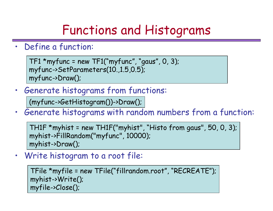### Functions and Histograms

• Define a function:

TF1 \*myfunc = new TF1("myfunc", "gaus", 0, 3); myfunc->SetParameters(10.,1.5,0.5); myfunc->Draw();

• Generate histograms from functions:

(myfunc->GetHistogram())->Draw();

• Generate histograms with random numbers from a function:

TH1F \*myhist = new TH1F("myhist", "Histo from gaus", 50, 0, 3); myhist->FillRandom("myfunc", 10000); myhist->Draw();

•Write histogram to a root file:

> TFile \*myfile = new TFile("fillrandom.root", "RECREATE"); myhist->Write(); myfile->Close();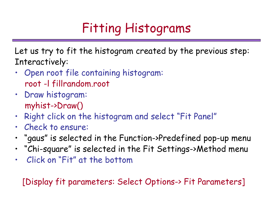# Fitting Histograms

- Let us try to fit the histogram created by the previous step: Interactively:
- Open root file containing histogram: root -l fillrandom.root
- Draw histogram: myhist->Draw()
- Right click on the histogram and select "Fit Panel"
- Check to ensure:
- "gaus" is selected in the Function->Predefined pop-up menu
- "Chi-square" is selected in the Fit Settings->Method menu
- Click on "Fit" at the bottom

[Display fit parameters: Select Options-> Fit Parameters]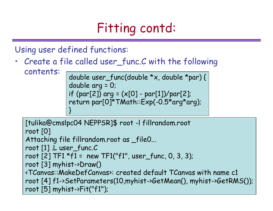# Fitting contd:

Using user defined functions:

• Create a file called user\_func.C with the following contents:

double user\_func(double \*x, double \*par) { double arg = 0; if (par[2]) arg =  $(x[0] - par[1])/par[2]$ ; return par[0]\*TMath::Exp(-0.5\*arg\*arg); }

```
[tulika@cmslpc04 NEPPSR]$ root -l fillrandom.root
root [0]
Attaching file fillrandom.root as _file0...
root [1] .L user_func.C
root [2] TF1 * f1 = new TF1("f1", user_func, 0, 3, 3);root [3] myhist->Draw()
<TCanvas::MakeDefCanvas>: created default TCanvas with name c1
root [4] f1->SetParameters(10,myhist->GetMean(), myhist->GetRMS());
root [5] myhist->Fit("f1");
```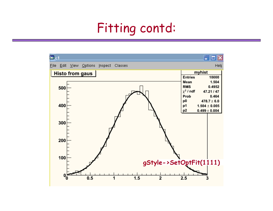### Fitting contd:

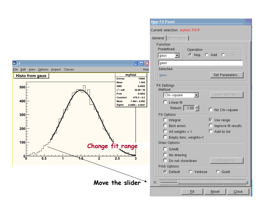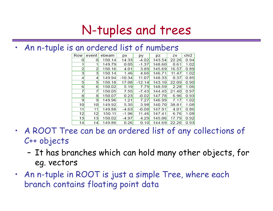## N-tuples and trees

#### • An n-tuple is an ordered list of numbers

| Row | event | ebeam  | pх       | рy       | pz     | zv    | chi2 |
|-----|-------|--------|----------|----------|--------|-------|------|
| 0   | 0     | 150.14 | 14.33    | $-4.02$  | 143.54 | 22.26 | 0.94 |
| 1   | 1     | 149.79 | 0.05     | $-1.37$  | 148.60 | 0.61  | 1.02 |
| 2   | 2     | 150.16 | 4.01     | 3.89     | 145.69 | 16.57 | 0.89 |
| 3   | 3     | 150.14 | 1.46     | 4.66     | 146.71 | 11.47 | 1.02 |
| 4   | 4     | 149.94 | $-10.34$ | 11.07    | 148.33 | 0.37  | 0.85 |
| 5   | 51    | 150.18 | 17.08    | $-12.14$ | 143.10 | 22.09 | 0.90 |
| 6   | 6     | 150.02 | 5.19     | 7.79     | 148.59 | 2.28  | 1.06 |
| 7   | 7     | 150.05 | 7.55     | $-7.43$  | 144.45 | 21.40 | 0.97 |
| 8   | 8     | 150.07 | 0.23     | $-0.02$  | 147.78 | 6.96  | 0.93 |
| 9   | 9     | 149.96 | 1.21     | 7.27     | 146.99 | 7.17  | 1.02 |
| 10  | 10    | 149.92 | 5.35     | 3.98     | 140.70 | 38.81 | 1.08 |
| 11  | 11    | 149.88 | $-4.63$  | $-0.08$  | 147.91 | 4.01  | 0.86 |
| 12  | 12    | 150.11 | $-1.96$  | 11.46    | 147.41 | 6.76  | 1.08 |
| 13  | 13    | 150.02 | $-4.97$  | 4.29     | 145.06 | 17.79 | 0.92 |
| 14  | 14    | 149.86 | 0.26     | 0.10     | 144.69 | 22.26 | 0.93 |

- A ROOT Tree can be an ordered list of any collections of C++ objects
	- – It has branches which can hold many other objects, for eg. vectors
- An n-tuple in ROOT is just a simple Tree, where each branch contains floating point data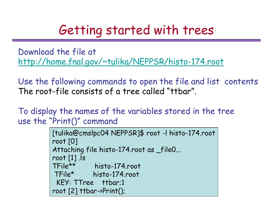### Getting started with trees

Download the file at <http://home.fnal.gov/~tulika/NEPPSR/histo-174.root>

Use the following commands to open the file and list contents The root-file consists of a tree called "ttbar".

To display the names of the variables stored in the tree use the "Print()" command

```
[tulika@cmslpc04 NEPPSR]$ root -l histo-174.root
root [0]
Attaching file histo-174.root as _file0...
root [1] .ls
TFile** histo-174.root
TFile* histo-174.root
 KEY: TTree ttbar;1
root [2] ttbar->Print();
```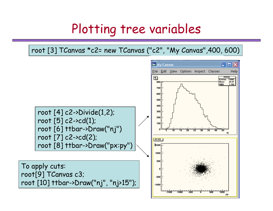### Plotting tree variables

#### root [3] TCanvas \*c2= new TCanvas ("c2", "My Canvas",400, 600)

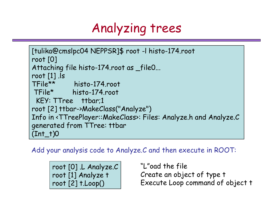# Analyzing trees

```
[tulika@cmslpc04 NEPPSR]$ root -l histo-174.root
root [0]
Attaching file histo-174.root as _file0...
root [1] .ls
TFile** histo-174.root
TFile* histo-174.root
 KEY: TTree ttbar;1
root [2] ttbar->MakeClass("Analyze")
Info in <TTreePlayer::MakeClass>: Files: Analyze.h and Analyze.C
generated from TTree: ttbar
(Int_t)
```
Add your analysis code to Analyze.C and then execute in ROOT:

root [0] .L Analyze.C root [1] Analyze t root [2] t.Loop()

"L"oad the file Create an object of type t Execute Loop command of object t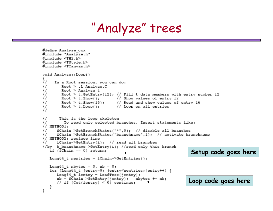"Analyze" trees

```
#define Analyze cxx
#include "Analyze.h"
#include <TH2.h>
#include <TStyle.h>
\#include \langleTCanvas.h>
void Analyze::Loop()
∱∕
     In a Root session, you can do:
\frac{1}{2}Root > .L Analyze.C
\frac{1}{2}Root > Analyze t
\prime\primeRoot > t.GetEntry(12); // Fill t data members with entry number 12
\prime\primeRoot > t.Show(); \frac{1}{2} // Show values of entry 12
\prime\primeRoot > t.Show(16); // Read and show values of entry 16
\prime\primeRoot > t.Loop();// Loop on all entries
\prime /
\prime /
       This is the loop skeleton
\prime\primeTo read only selected branches, Insert statements like:
// METHOD1:
\frac{1}{2}fChain->SetBranchStatus("*",0); // disable all branches
\prime\primefChain->SetBranchStatus("branchname",1); // activate branchname
// METHOD2: replace line
\prime\primefChain \rightarrow GetEntry(i); // read all branches
//by b branchname->GetEntry(i); //read only this branch
   if (Fchain == 0) return;
                                                                   Setup code goes here
   Long64 t nentries = fChain->GetEntries();
   Long64 t nbytes = 0, nb = 0;
   for (Long64 t jentry=0; jentry<nentries;jentry++) {
      Long64 t ientry = LoadTree(jentry);
      nb = fChain->GetEntry(jentry);nbytes += nb;
                                                                  Loop code goes here// if (Cut(ientry) < 0) continue;
   }
}
```